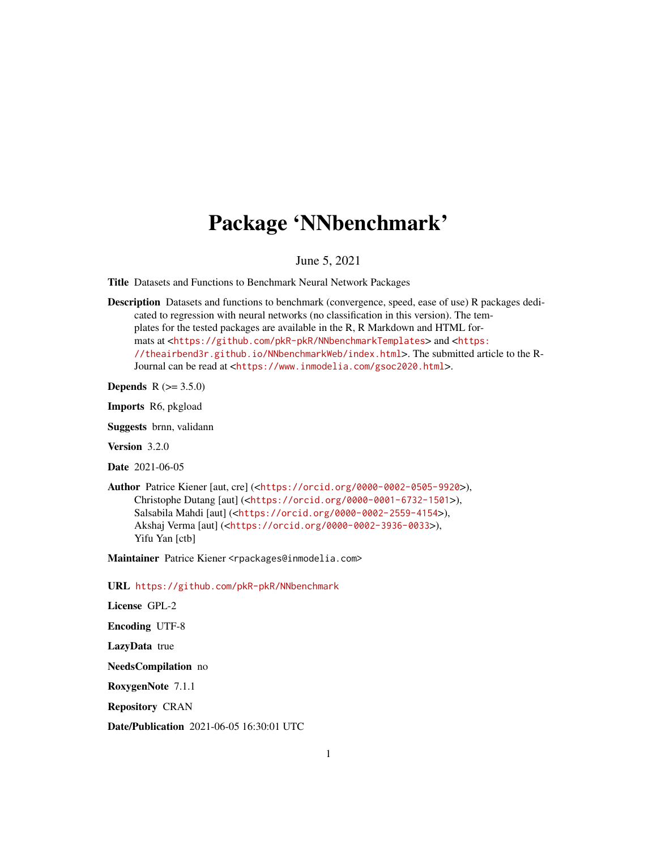# Package 'NNbenchmark'

June 5, 2021

<span id="page-0-0"></span>Title Datasets and Functions to Benchmark Neural Network Packages

Description Datasets and functions to benchmark (convergence, speed, ease of use) R packages dedicated to regression with neural networks (no classification in this version). The templates for the tested packages are available in the R, R Markdown and HTML formats at <<https://github.com/pkR-pkR/NNbenchmarkTemplates>> and <[https:](https://theairbend3r.github.io/NNbenchmarkWeb/index.html) [//theairbend3r.github.io/NNbenchmarkWeb/index.html](https://theairbend3r.github.io/NNbenchmarkWeb/index.html)>. The submitted article to the R-Journal can be read at <<https://www.inmodelia.com/gsoc2020.html>>.

**Depends** R  $(>= 3.5.0)$ 

Imports R6, pkgload

Suggests brnn, validann

Version 3.2.0

Date 2021-06-05

Author Patrice Kiener [aut, cre] (<<https://orcid.org/0000-0002-0505-9920>>), Christophe Dutang [aut] (<<https://orcid.org/0000-0001-6732-1501>>), Salsabila Mahdi [aut] (<<https://orcid.org/0000-0002-2559-4154>>), Akshaj Verma [aut] (<<https://orcid.org/0000-0002-3936-0033>>), Yifu Yan [ctb]

Maintainer Patrice Kiener <rpackages@inmodelia.com>

URL <https://github.com/pkR-pkR/NNbenchmark>

License GPL-2

Encoding UTF-8

LazyData true

NeedsCompilation no

RoxygenNote 7.1.1

Repository CRAN

Date/Publication 2021-06-05 16:30:01 UTC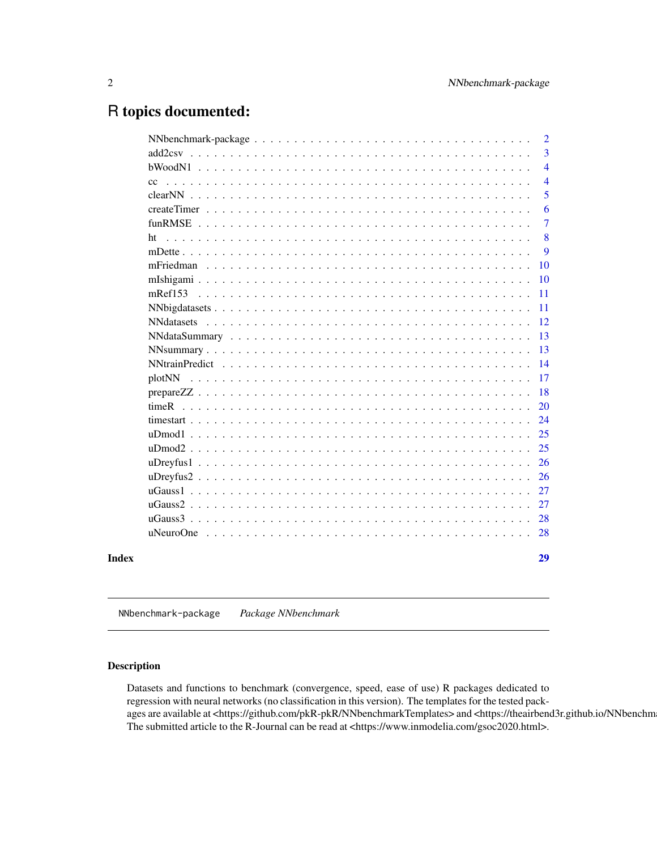# <span id="page-1-0"></span>R topics documented:

|       |         | $\overline{2}$ |
|-------|---------|----------------|
|       |         | 3              |
|       |         | $\overline{4}$ |
|       | cc      | $\overline{4}$ |
|       |         | 5              |
|       |         | 6              |
|       |         | $\overline{7}$ |
|       | ht      | 8              |
|       |         | 9              |
|       |         | 10             |
|       |         | 10             |
|       | mRef153 | <b>11</b>      |
|       |         | -11            |
|       |         | <sup>12</sup>  |
|       |         | 13             |
|       |         | 13             |
|       |         | 14             |
|       |         | <b>17</b>      |
|       |         | -18            |
|       |         | 20             |
|       |         | 24             |
|       |         | 25             |
|       |         | 25             |
|       |         | 26             |
|       |         | 26             |
|       |         | 27             |
|       |         | 27             |
|       |         | 28             |
|       |         | 28             |
| Index |         | 29             |

NNbenchmark-package *Package NNbenchmark*

# Description

Datasets and functions to benchmark (convergence, speed, ease of use) R packages dedicated to regression with neural networks (no classification in this version). The templates for the tested packages are available at <https://github.com/pkR-pkR/NNbenchmarkTemplates> and <https://theairbend3r.github.io/NNbenchm The submitted article to the R-Journal can be read at <https://www.inmodelia.com/gsoc2020.html>.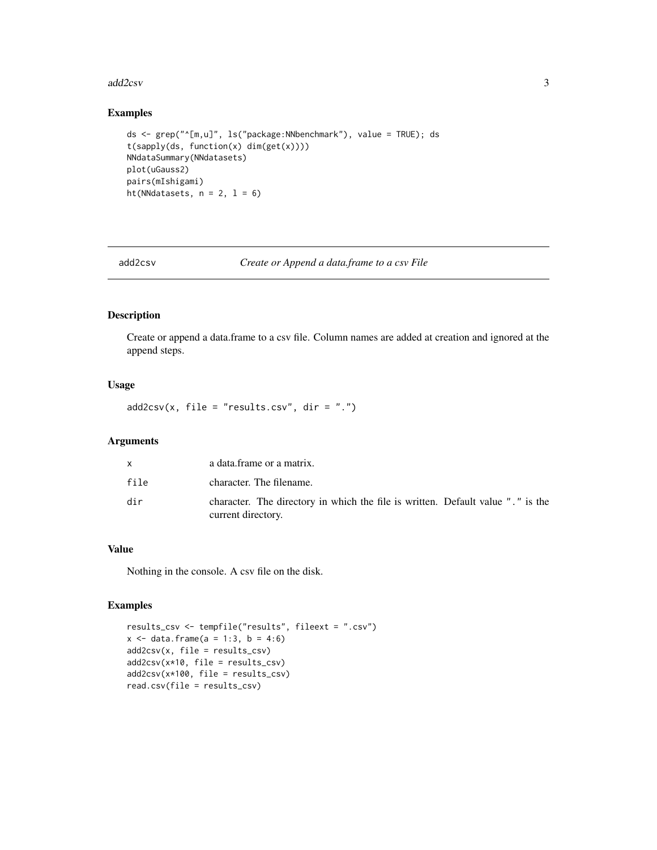#### <span id="page-2-0"></span>add2csv 3

# Examples

```
ds <- grep("^[m,u]", ls("package:NNbenchmark"), value = TRUE); ds
t(sapply(ds, function(x) dim(get(x))))
NNdataSummary(NNdatasets)
plot(uGauss2)
pairs(mIshigami)
ht(NNdatasets, n = 2, 1 = 6)
```
add2csv *Create or Append a data.frame to a csv File*

# Description

Create or append a data.frame to a csv file. Column names are added at creation and ignored at the append steps.

# Usage

 $add2csv(x, file = "results.csv", dir = ".")$ 

#### Arguments

| X    | a data.frame or a matrix.                                                                             |
|------|-------------------------------------------------------------------------------------------------------|
| file | character. The filename.                                                                              |
| dir  | character. The directory in which the file is written. Default value "." is the<br>current directory. |

# Value

Nothing in the console. A csv file on the disk.

```
results_csv <- tempfile("results", fileext = ".csv")
x \le - data.frame(a = 1:3, b = 4:6)
add2csv(x, file = results_csv)
add2csv(x*10, file = results_csv)
add2csv(x*100, file = results_csv)
read.csv(file = results_csv)
```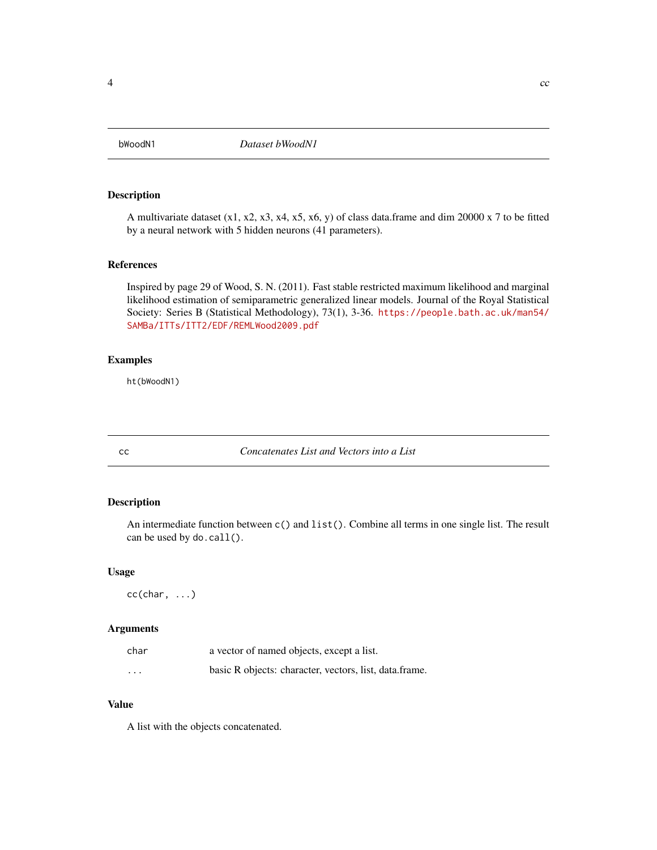<span id="page-3-0"></span>

A multivariate dataset  $(x1, x2, x3, x4, x5, x6, y)$  of class data.frame and dim 20000 x 7 to be fitted by a neural network with 5 hidden neurons (41 parameters).

# References

Inspired by page 29 of Wood, S. N. (2011). Fast stable restricted maximum likelihood and marginal likelihood estimation of semiparametric generalized linear models. Journal of the Royal Statistical Society: Series B (Statistical Methodology), 73(1), 3-36. [https://people.bath.ac.uk/man54/](https://people.bath.ac.uk/man54/SAMBa/ITTs/ITT2/EDF/REMLWood2009.pdf) [SAMBa/ITTs/ITT2/EDF/REMLWood2009.pdf](https://people.bath.ac.uk/man54/SAMBa/ITTs/ITT2/EDF/REMLWood2009.pdf)

# Examples

ht(bWoodN1)

cc *Concatenates List and Vectors into a List*

# Description

An intermediate function between c() and list(). Combine all terms in one single list. The result can be used by do.call().

#### Usage

 $cc(char, \ldots)$ 

# Arguments

| char    | a vector of named objects, except a list.              |
|---------|--------------------------------------------------------|
| $\cdot$ | basic R objects: character, vectors, list, data.frame. |

#### Value

A list with the objects concatenated.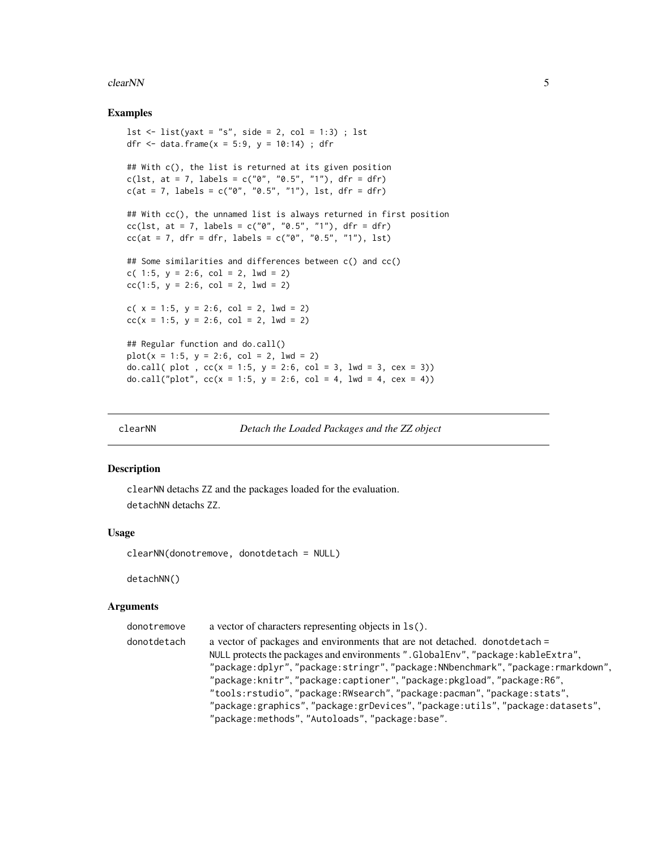#### <span id="page-4-0"></span>clearNN 5

#### Examples

```
lst \le list(yaxt = "s", side = 2, col = 1:3) ; lst
dfr <- data.frame(x = 5:9, y = 10:14); dfr
## With c(), the list is returned at its given position
c(lst, at = 7, labels = c("0", "0.5", "1"), dfr = dfr)
c(at = 7, labels = c("0", "0.5", "1"), lst, dfr = dfr)## With cc(), the unnamed list is always returned in first position
cc(lst, at = 7, labels = c("0", "0.5", "1"), dfr = dfr)
cc(at = 7, dfr = dfr, labels = c("0", "0.5", "1"), Ist)## Some similarities and differences between c() and cc()
c( 1:5, y = 2:6, col = 2, 1wd = 2)
cc(1:5, y = 2:6, col = 2, lwd = 2)
c( x = 1:5, y = 2:6, col = 2, lwd = 2)
cc(x = 1:5, y = 2:6, col = 2, lwd = 2)## Regular function and do.call()
plot(x = 1:5, y = 2:6, col = 2, lwd = 2)do.call( plot, cc(x = 1:5, y = 2:6, col = 3, lwd = 3, cex = 3))do.call("plot", cc(x = 1:5, y = 2:6, col = 4, lwd = 4, cex = 4))
```
clearNN *Detach the Loaded Packages and the ZZ object*

#### Description

clearNN detachs ZZ and the packages loaded for the evaluation. detachNN detachs ZZ.

#### Usage

clearNN(donotremove, donotdetach = NULL)

detachNN()

#### Arguments

| donotremove | a vector of characters representing objects in $ls()$ .                           |
|-------------|-----------------------------------------------------------------------------------|
| donotdetach | a vector of packages and environments that are not detached. donotdetach =        |
|             | NULL protects the packages and environments ". GlobalEnv", "package: kableExtra", |
|             | "package:dplyr","package:stringr","package:NNbenchmark","package:rmarkdown",      |
|             | "package:knitr","package:captioner","package:pkgload","package:R6",               |
|             | "tools:rstudio", "package: RWsearch", "package: pacman", "package: stats",        |
|             | "package:graphics","package:grDevices","package:utils","package:datasets",        |
|             | "package:methods", "Autoloads", "package:base".                                   |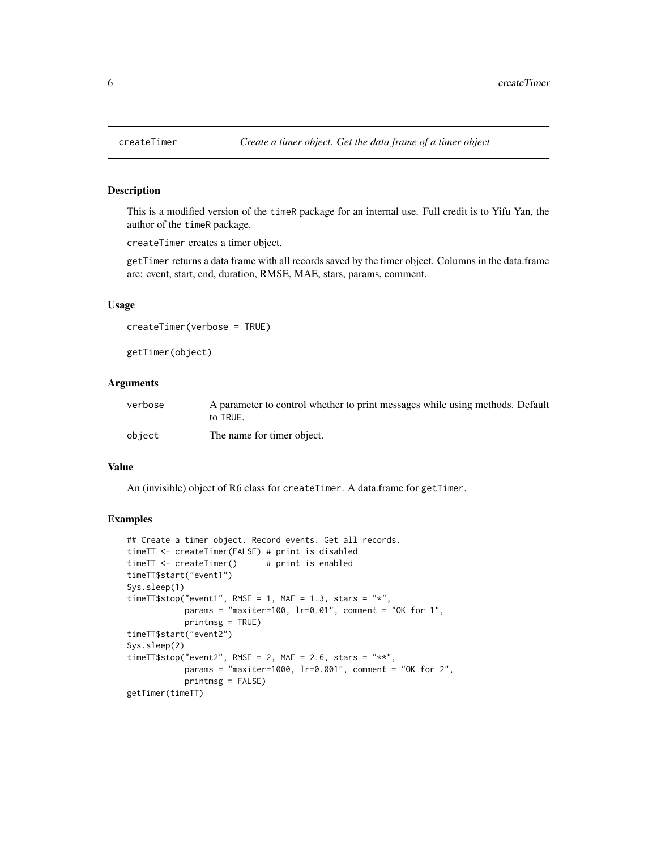<span id="page-5-1"></span><span id="page-5-0"></span>

This is a modified version of the timeR package for an internal use. Full credit is to Yifu Yan, the author of the timeR package.

createTimer creates a timer object.

getTimer returns a data frame with all records saved by the timer object. Columns in the data.frame are: event, start, end, duration, RMSE, MAE, stars, params, comment.

#### Usage

```
createTimer(verbose = TRUE)
```
getTimer(object)

# Arguments

| verbose | A parameter to control whether to print messages while using methods. Default<br>to TRUE. |
|---------|-------------------------------------------------------------------------------------------|
| object  | The name for timer object.                                                                |

#### Value

An (invisible) object of R6 class for createTimer. A data.frame for getTimer.

```
## Create a timer object. Record events. Get all records.
timeTT <- createTimer(FALSE) # print is disabled
timeTT <- createTimer() # print is enabled
timeTT$start("event1")
Sys.sleep(1)
timeTT$stop("event1", RMSE = 1, MAE = 1.3, stars = "*",
           params = "maxiter=100, lr=0.01", comment = "OK for 1",
           printmsg = TRUE)
timeTT$start("event2")
Sys.sleep(2)
timeTT$stop("event2", RMSE = 2, MAE = 2.6, stars = "**",
           params = "maxiter=1000, lr=0.001", comment = "OK for 2",
           printmsg = FALSE)
getTimer(timeTT)
```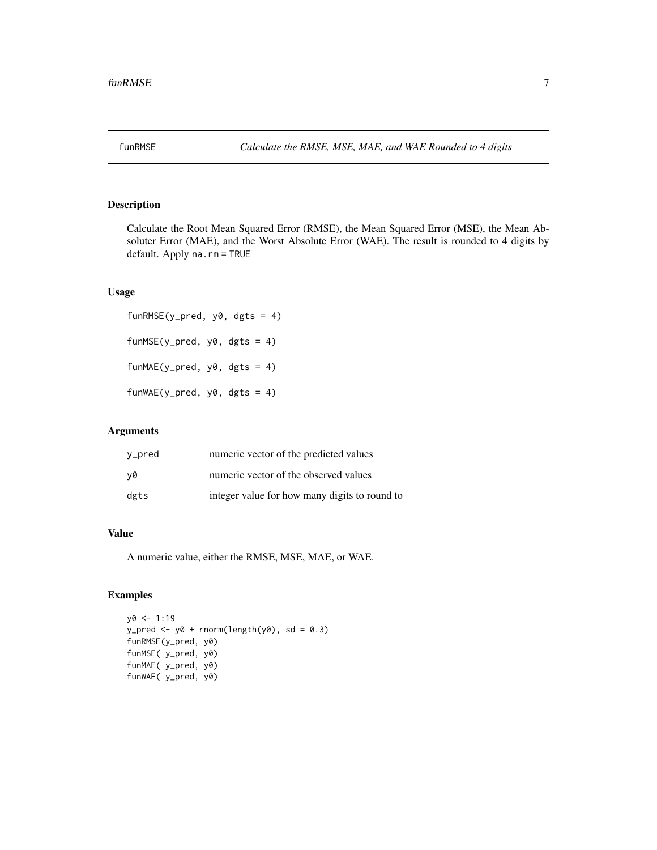<span id="page-6-1"></span><span id="page-6-0"></span>

Calculate the Root Mean Squared Error (RMSE), the Mean Squared Error (MSE), the Mean Absoluter Error (MAE), and the Worst Absolute Error (WAE). The result is rounded to 4 digits by default. Apply na.rm = TRUE

#### Usage

funRMSE(y\_pred, y0, dgts = 4) funMSE(y\_pred,  $y0$ , dgts = 4) funMAE(y\_pred,  $y0$ , dgts = 4) funWAE(y\_pred,  $y0$ , dgts = 4)

# Arguments

| y_pred | numeric vector of the predicted values        |
|--------|-----------------------------------------------|
| v0     | numeric vector of the observed values         |
| dgts   | integer value for how many digits to round to |

# Value

A numeric value, either the RMSE, MSE, MAE, or WAE.

```
y0 <- 1:19
y_pred <- y0 + rnorm(length(y0), sd = 0.3)
funRMSE(y_pred, y0)
funMSE( y_pred, y0)
funMAE( y_pred, y0)
funWAE( y_pred, y0)
```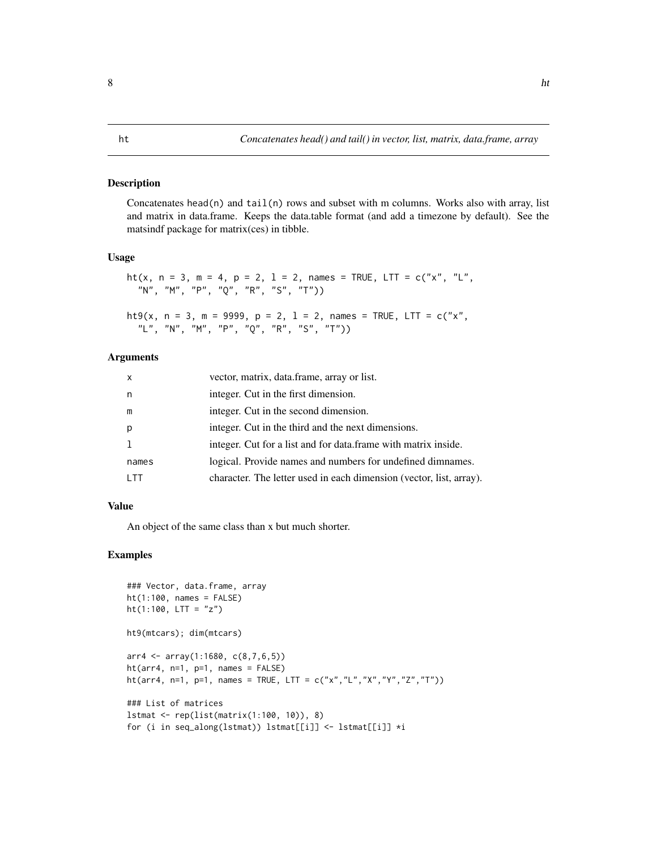<span id="page-7-0"></span>Concatenates head(n) and tail(n) rows and subset with m columns. Works also with array, list and matrix in data.frame. Keeps the data.table format (and add a timezone by default). See the matsindf package for matrix(ces) in tibble.

#### Usage

```
ht(x, n = 3, m = 4, p = 2, 1 = 2, names = TRUE, LTT = c("x", "L","N", "M", "P", "Q", "R", "S", "T"))
```

```
ht9(x, n = 3, m = 9999, p = 2, 1 = 2, names = TRUE, LTT = c("x","L", "N", "M", "P", "Q", "R", "S", "T"))
```
#### Arguments

| $\mathsf{x}$ | vector, matrix, data.frame, array or list.                          |
|--------------|---------------------------------------------------------------------|
| n.           | integer. Cut in the first dimension.                                |
| m            | integer. Cut in the second dimension.                               |
| p            | integer. Cut in the third and the next dimensions.                  |
| <b>T</b>     | integer. Cut for a list and for data. frame with matrix inside.     |
| names        | logical. Provide names and numbers for undefined dimnames.          |
|              | character. The letter used in each dimension (vector, list, array). |

# Value

An object of the same class than x but much shorter.

```
### Vector, data.frame, array
ht(1:100, names = FALSE)ht(1:100, LTT = "z")ht9(mtcars); dim(mtcars)
arr4 \leftarrow array(1:1680, c(8,7,6,5))ht(arr4, n=1, p=1, names = FALSE)ht(arr4, n=1, p=1, names = TRUE, LTT = c("x","L","X","Y","Z","T"))
### List of matrices
lstmat <- rep(list(matrix(1:100, 10)), 8)
for (i in seq_along(lstmat)) lstmat[[i]] <- lstmat[[i]] *i
```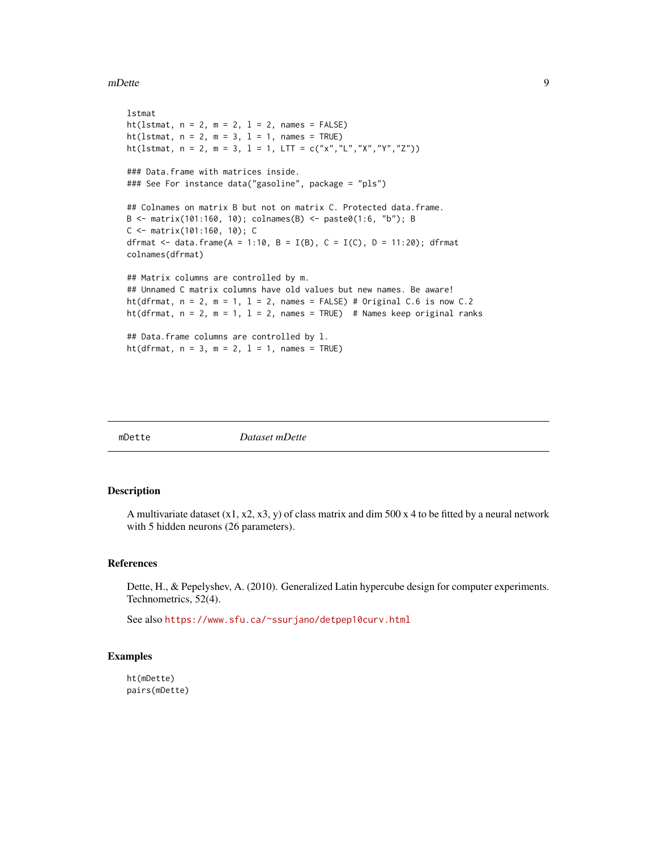#### <span id="page-8-0"></span>mDette and the set of the set of the set of the set of the set of the set of the set of the set of the set of the set of the set of the set of the set of the set of the set of the set of the set of the set of the set of th

```
lstmat
ht(lstmat, n = 2, m = 2, l = 2, names = FALSE)
ht(lstmat, n = 2, m = 3, l = 1, names = TRUE)
ht(lstmat, n = 2, m = 3, l = 1, LTT = c("x","L","X","Y","Z"))
### Data.frame with matrices inside.
### See For instance data("gasoline", package = "pls")
## Colnames on matrix B but not on matrix C. Protected data.frame.
B <- matrix(101:160, 10); colnames(B) <- paste0(1:6, "b"); B
C <- matrix(101:160, 10); C
dfrmat <- data.frame(A = 1:10, B = I(B), C = I(C), D = 11:20); dfrmat
colnames(dfrmat)
## Matrix columns are controlled by m.
## Unnamed C matrix columns have old values but new names. Be aware!
ht(dfrmat, n = 2, m = 1, 1 = 2, names = FALSE) # Original C.6 is now C.2
ht(dfrmat, n = 2, m = 1, 1 = 2, names = TRUE) # Names keep original ranks
## Data.frame columns are controlled by l.
ht(dfrmat, n = 3, m = 2, l = 1, names = TRUE)
```
mDette *Dataset mDette*

#### Description

A multivariate dataset  $(x1, x2, x3, y)$  of class matrix and dim 500 x 4 to be fitted by a neural network with 5 hidden neurons (26 parameters).

#### References

Dette, H., & Pepelyshev, A. (2010). Generalized Latin hypercube design for computer experiments. Technometrics, 52(4).

See also <https://www.sfu.ca/~ssurjano/detpep10curv.html>

#### Examples

ht(mDette) pairs(mDette)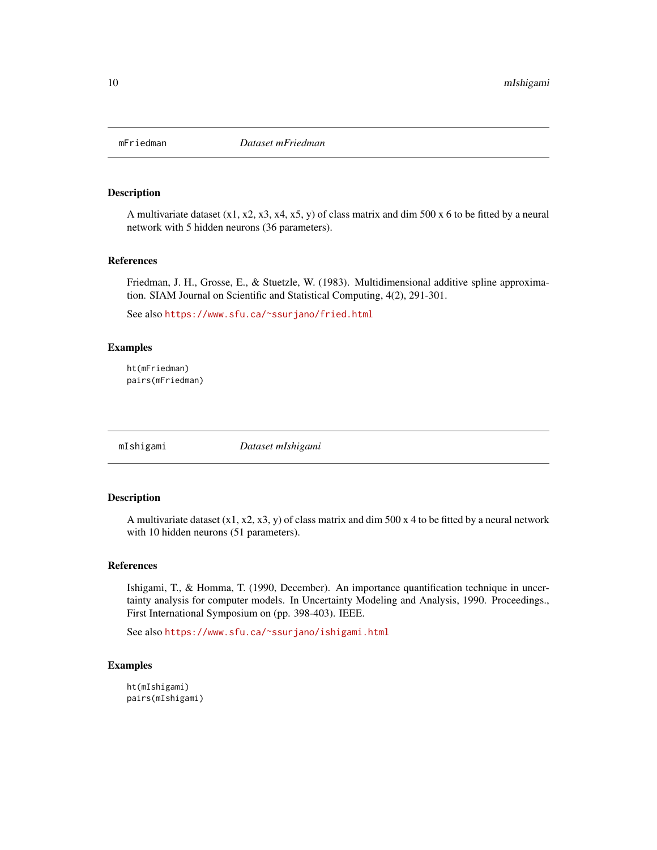<span id="page-9-0"></span>

A multivariate dataset  $(x1, x2, x3, x4, x5, y)$  of class matrix and dim 500 x 6 to be fitted by a neural network with 5 hidden neurons (36 parameters).

#### References

Friedman, J. H., Grosse, E., & Stuetzle, W. (1983). Multidimensional additive spline approximation. SIAM Journal on Scientific and Statistical Computing, 4(2), 291-301.

See also <https://www.sfu.ca/~ssurjano/fried.html>

# Examples

ht(mFriedman) pairs(mFriedman)

mIshigami *Dataset mIshigami*

#### Description

A multivariate dataset  $(x1, x2, x3, y)$  of class matrix and dim 500 x 4 to be fitted by a neural network with 10 hidden neurons (51 parameters).

# References

Ishigami, T., & Homma, T. (1990, December). An importance quantification technique in uncertainty analysis for computer models. In Uncertainty Modeling and Analysis, 1990. Proceedings., First International Symposium on (pp. 398-403). IEEE.

See also <https://www.sfu.ca/~ssurjano/ishigami.html>

```
ht(mIshigami)
pairs(mIshigami)
```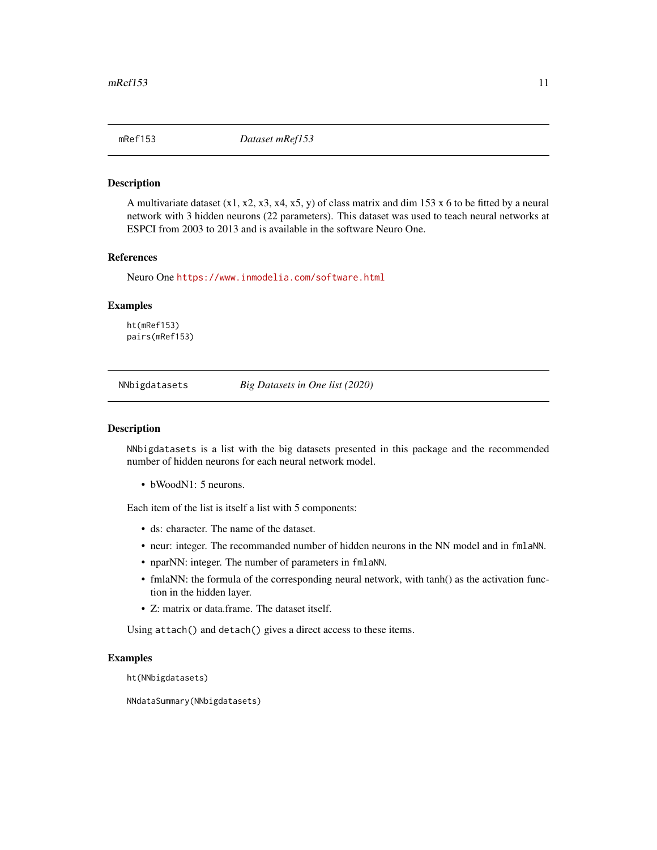<span id="page-10-0"></span>

A multivariate dataset  $(x1, x2, x3, x4, x5, y)$  of class matrix and dim 153 x 6 to be fitted by a neural network with 3 hidden neurons (22 parameters). This dataset was used to teach neural networks at ESPCI from 2003 to 2013 and is available in the software Neuro One.

#### References

Neuro One <https://www.inmodelia.com/software.html>

#### Examples

ht(mRef153) pairs(mRef153)

NNbigdatasets *Big Datasets in One list (2020)*

#### Description

NNbigdatasets is a list with the big datasets presented in this package and the recommended number of hidden neurons for each neural network model.

• bWoodN1: 5 neurons.

Each item of the list is itself a list with 5 components:

- ds: character. The name of the dataset.
- neur: integer. The recommanded number of hidden neurons in the NN model and in fmlaNN.
- nparNN: integer. The number of parameters in fmlaNN.
- fmlaNN: the formula of the corresponding neural network, with tanh() as the activation function in the hidden layer.
- Z: matrix or data.frame. The dataset itself.

Using attach() and detach() gives a direct access to these items.

#### Examples

```
ht(NNbigdatasets)
```
NNdataSummary(NNbigdatasets)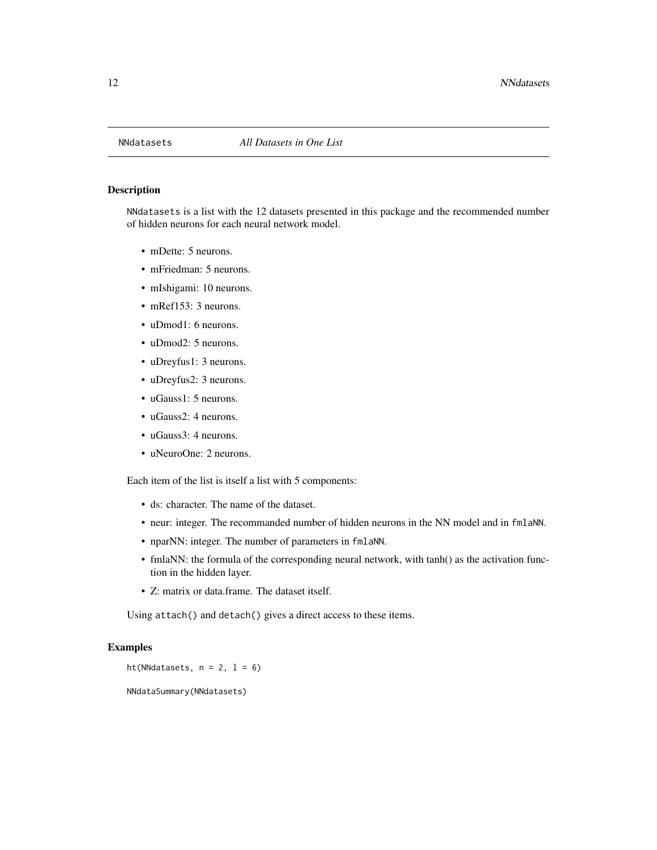<span id="page-11-0"></span>

NNdatasets is a list with the 12 datasets presented in this package and the recommended number of hidden neurons for each neural network model.

- mDette: 5 neurons.
- mFriedman: 5 neurons.
- mIshigami: 10 neurons.
- mRef153: 3 neurons.
- uDmod1: 6 neurons.
- uDmod2: 5 neurons.
- uDreyfus1: 3 neurons.
- uDreyfus2: 3 neurons.
- uGauss1: 5 neurons.
- uGauss2: 4 neurons.
- uGauss3: 4 neurons.
- uNeuroOne: 2 neurons.

Each item of the list is itself a list with 5 components:

- ds: character. The name of the dataset.
- neur: integer. The recommanded number of hidden neurons in the NN model and in fmlaNN.
- nparNN: integer. The number of parameters in fmlaNN.
- fmlaNN: the formula of the corresponding neural network, with tanh() as the activation function in the hidden layer.
- Z: matrix or data.frame. The dataset itself.

Using attach() and detach() gives a direct access to these items.

#### Examples

```
ht(NNdatasets, n = 2, 1 = 6)
```
NNdataSummary(NNdatasets)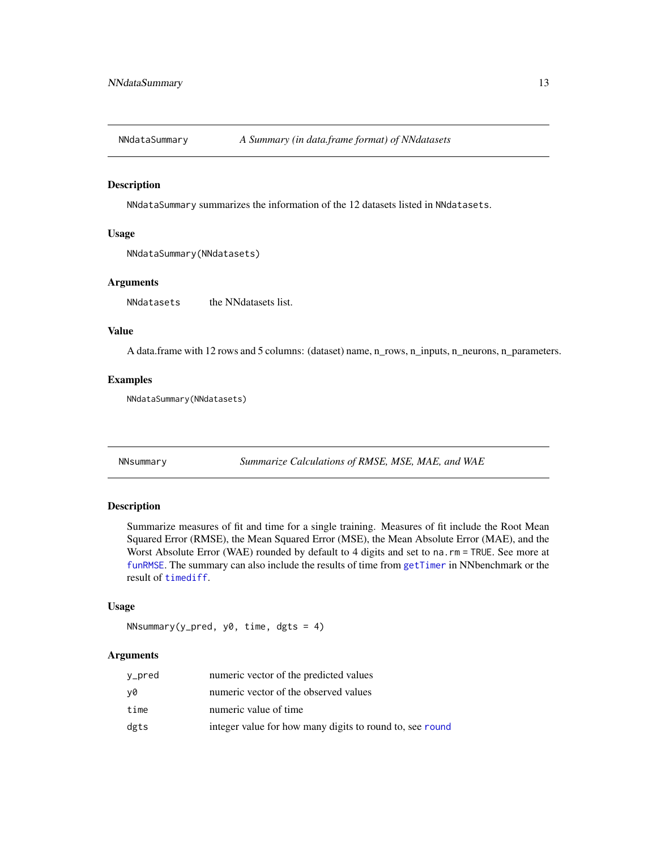<span id="page-12-1"></span><span id="page-12-0"></span>

NNdataSummary summarizes the information of the 12 datasets listed in NNdatasets.

#### Usage

```
NNdataSummary(NNdatasets)
```
# Arguments

NNdatasets the NNdatasets list.

# Value

A data.frame with 12 rows and 5 columns: (dataset) name, n\_rows, n\_inputs, n\_neurons, n\_parameters.

#### Examples

NNdataSummary(NNdatasets)

<span id="page-12-2"></span>NNsummary *Summarize Calculations of RMSE, MSE, MAE, and WAE*

# Description

Summarize measures of fit and time for a single training. Measures of fit include the Root Mean Squared Error (RMSE), the Mean Squared Error (MSE), the Mean Absolute Error (MAE), and the Worst Absolute Error (WAE) rounded by default to 4 digits and set to na. rm = TRUE. See more at [funRMSE](#page-6-1). The summary can also include the results of time from [getTimer](#page-5-1) in NNbenchmark or the result of [timediff](#page-23-1).

#### Usage

```
NNsummary(y_pred, y0, time, dgts = 4)
```
# Arguments

| y_pred | numeric vector of the predicted values                   |
|--------|----------------------------------------------------------|
| y0     | numeric vector of the observed values                    |
| time   | numeric value of time                                    |
| dgts   | integer value for how many digits to round to, see round |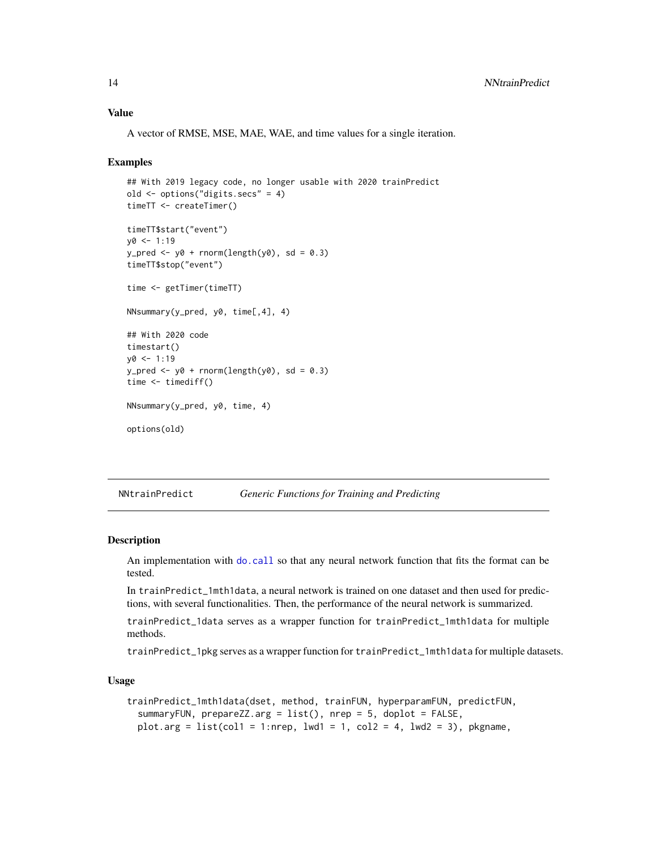# <span id="page-13-0"></span>Value

A vector of RMSE, MSE, MAE, WAE, and time values for a single iteration.

#### Examples

```
## With 2019 legacy code, no longer usable with 2020 trainPredict
old <- options("digits.secs" = 4)
timeTT <- createTimer()
timeTT$start("event")
y0 < -1:19y_pred <- y0 + rnorm(length(y0), sd = 0.3)
timeTT$stop("event")
time <- getTimer(timeTT)
NNsummary(y_pred, y0, time[,4], 4)
## With 2020 code
timestart()
y0 < -1:19y_pred <- y0 + rnorm(length(y0), sd = 0.3)
time <- timediff()
NNsummary(y_pred, y0, time, 4)
options(old)
```
NNtrainPredict *Generic Functions for Training and Predicting*

#### **Description**

An implementation with [do.call](#page-0-0) so that any neural network function that fits the format can be tested.

In trainPredict\_1mth1data, a neural network is trained on one dataset and then used for predictions, with several functionalities. Then, the performance of the neural network is summarized.

trainPredict\_1data serves as a wrapper function for trainPredict\_1mth1data for multiple methods.

trainPredict\_1pkg serves as a wrapper function for trainPredict\_1mth1data for multiple datasets.

#### Usage

```
trainPredict_1mth1data(dset, method, trainFUN, hyperparamFUN, predictFUN,
  summaryFUN, prepareZZ.arg = list(), nrep = 5, doplot = FALSE,
 plot.arg = list(col1 = 1:nrep, lwd1 = 1, col2 = 4, lwd2 = 3), pkgname,
```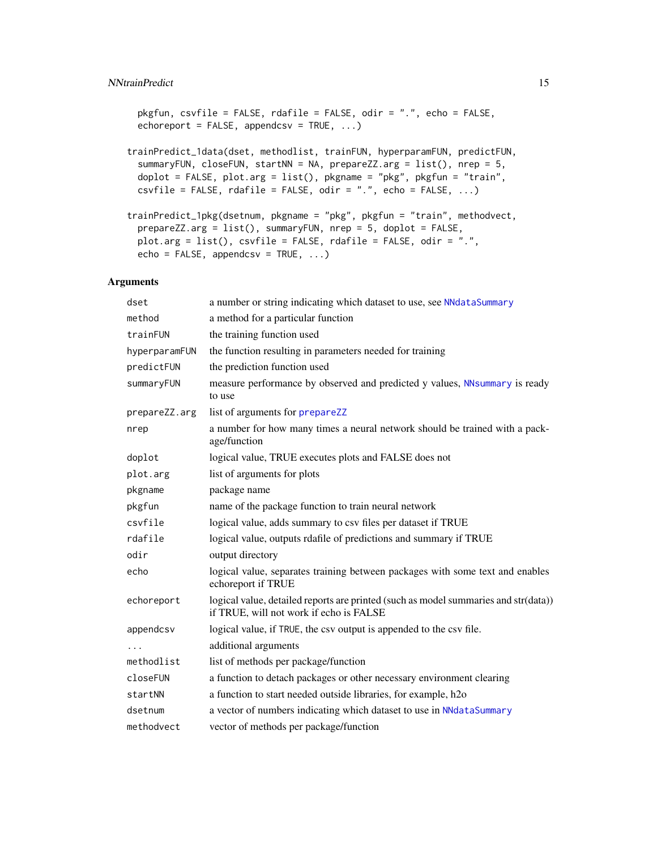# <span id="page-14-0"></span>NNtrainPredict 15

```
pkgfun, csvfile = FALSE, rdafile = FALSE, odir = ".", echo = FALSE,
echoreport = FALSE, appendcsv = TRUE, \dots)
```

```
trainPredict_1data(dset, methodlist, trainFUN, hyperparamFUN, predictFUN,
  summaryFUN, closeFUN, startNN = NA, prepareZZ.arg = list(), nrep = 5,
 doplot = FALSE, plot.arg = list(), pkgname = "pkg", pkgfun = "train",
 csvfile = FALSE, radfile = FALSE, odir = ".", echo = FALSE, ...)
```

```
trainPredict_1pkg(dsetnum, pkgname = "pkg", pkgfun = "train", methodvect,
 prepareZZ.arg = list(), summaryFUN, nrep = 5, doplot = FALSE,
 plot.arg = list(), csvfile = FALSE, rdafile = FALSE, odir = ".",
 echo = FALSE, appendcsv = TRUE, ...)
```
# Arguments

| dset          | a number or string indicating which dataset to use, see NNdataSummary                                                          |
|---------------|--------------------------------------------------------------------------------------------------------------------------------|
| method        | a method for a particular function                                                                                             |
| trainFUN      | the training function used                                                                                                     |
| hyperparamFUN | the function resulting in parameters needed for training                                                                       |
| predictFUN    | the prediction function used                                                                                                   |
| summaryFUN    | measure performance by observed and predicted y values, NNsummary is ready<br>to use                                           |
| prepareZZ.arg | list of arguments for prepareZZ                                                                                                |
| nrep          | a number for how many times a neural network should be trained with a pack-<br>age/function                                    |
| doplot        | logical value, TRUE executes plots and FALSE does not                                                                          |
| plot.arg      | list of arguments for plots                                                                                                    |
| pkgname       | package name                                                                                                                   |
| pkgfun        | name of the package function to train neural network                                                                           |
| csvfile       | logical value, adds summary to csv files per dataset if TRUE                                                                   |
| rdafile       | logical value, outputs rdafile of predictions and summary if TRUE                                                              |
| odir          | output directory                                                                                                               |
| echo          | logical value, separates training between packages with some text and enables<br>echoreport if TRUE                            |
| echoreport    | logical value, detailed reports are printed (such as model summaries and str(data))<br>if TRUE, will not work if echo is FALSE |
| appendcsv     | logical value, if TRUE, the csv output is appended to the csv file.                                                            |
| .             | additional arguments                                                                                                           |
| methodlist    | list of methods per package/function                                                                                           |
| closeFUN      | a function to detach packages or other necessary environment clearing                                                          |
| startNN       | a function to start needed outside libraries, for example, h2o                                                                 |
| dsetnum       | a vector of numbers indicating which dataset to use in NNdataSummary                                                           |
| methodvect    | vector of methods per package/function                                                                                         |
|               |                                                                                                                                |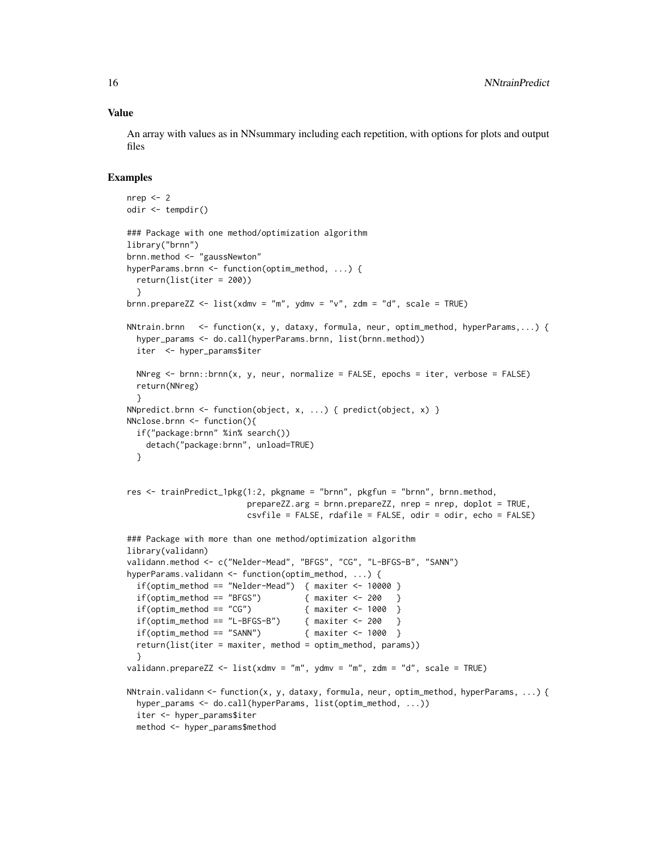#### Value

An array with values as in NNsummary including each repetition, with options for plots and output files

```
nrep < -2odir <- tempdir()
### Package with one method/optimization algorithm
library("brnn")
brnn.method <- "gaussNewton"
hyperParams.brnn <- function(optim_method, ...) {
 return(list(iter = 200))
 }
brnn.prepareZZ <- list(xdmv = "m", ydmv = "v", zdm = "d", scale = TRUE)
NNtrain.brnn <- function(x, y, dataxy, formula, neur, optim_method, hyperParams,...) {
 hyper_params <- do.call(hyperParams.brnn, list(brnn.method))
 iter <- hyper_params$iter
 NNreg \le brnn::brnn(x, y, neur, normalize = FALSE, epochs = iter, verbose = FALSE)
 return(NNreg)
 }
NNpredict.brnn <- function(object, x, ...) { predict(object, x) }
NNclose.brnn <- function(){
 if("package:brnn" %in% search())
   detach("package:brnn", unload=TRUE)
 }
res <- trainPredict_1pkg(1:2, pkgname = "brnn", pkgfun = "brnn", brnn.method,
                        prepareZZ.arg = brnn.prepareZZ, nrep = nrep, doplot = TRUE,
                        csvfile = FALSE, rdafile = FALSE, odir = odir, echo = FALSE)
### Package with more than one method/optimization algorithm
library(validann)
validann.method <- c("Nelder-Mead", "BFGS", "CG", "L-BFGS-B", "SANN")
hyperParams.validann <- function(optim_method, ...) {
 if(optim_method == "Nelder-Mead") { maxiter \leq 10000 }
 if(optim_method == "BFGS") \{ maxiter <- 200 \}if(optim\_method == "CG") { maxiter <- 1000 }
 if(optim_method == "L-BFGS-B") \{ maxiter <- 200 \}if(optim\_method == "SANN") { maxiter <- 1000 }
 return(list(iter = maxiter, method = optim_method, params))
  }
validann.prepareZZ <- list(xdmv = "m", ydmv = "m", zdm = "d", scale = TRUE)
NNtrain.validann <- function(x, y, dataxy, formula, neur, optim_method, hyperParams, ...) {
 hyper_params <- do.call(hyperParams, list(optim_method, ...))
 iter <- hyper_params$iter
 method <- hyper_params$method
```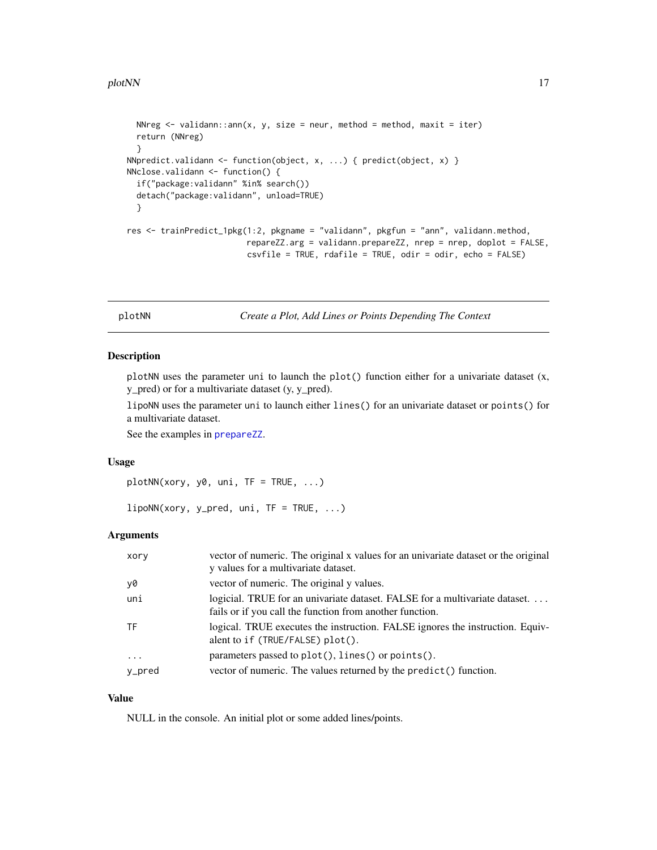```
NNreg \le validann:: ann(x, y, size = neur, method = method, maxit = iter)
 return (NNreg)
 }
NNpredict.validann <- function(object, x, ...) { predict(object, x) }
NNclose.validann <- function() {
 if("package:validann" %in% search())
 detach("package:validann", unload=TRUE)
 }
res <- trainPredict_1pkg(1:2, pkgname = "validann", pkgfun = "ann", validann.method,
                         repareZZ.arg = validann.prepareZZ, nrep = nrep, doplot = FALSE,
                         csvfile = TRUE, rdafile = TRUE, odir = odir, echo = FALSE)
```
plotNN *Create a Plot, Add Lines or Points Depending The Context*

#### **Description**

plotNN uses the parameter uni to launch the plot() function either for a univariate dataset  $(x,$ y\_pred) or for a multivariate dataset (y, y\_pred).

lipoNN uses the parameter uni to launch either lines() for an univariate dataset or points() for a multivariate dataset.

See the examples in [prepareZZ](#page-17-1).

#### Usage

 $plotNN(xory, y0, uni, TF = TRUE, ...)$ 

 $lipoNN(xory, y_pred, uni, TF = TRUE, ...)$ 

#### Arguments

| xory       | vector of numeric. The original x values for an univariate dataset or the original<br>y values for a multivariate dataset.              |
|------------|-----------------------------------------------------------------------------------------------------------------------------------------|
| y0         | vector of numeric. The original y values.                                                                                               |
| uni        | logicial. TRUE for an univariate dataset. FALSE for a multivariate dataset.<br>fails or if you call the function from another function. |
| TF         | logical. TRUE executes the instruction. FALSE ignores the instruction. Equiv-<br>alent to if (TRUE/FALSE) plot().                       |
| $\ddots$ . | parameters passed to plot(), lines() or points().                                                                                       |
| y_pred     | vector of numeric. The values returned by the predict () function.                                                                      |

# Value

NULL in the console. An initial plot or some added lines/points.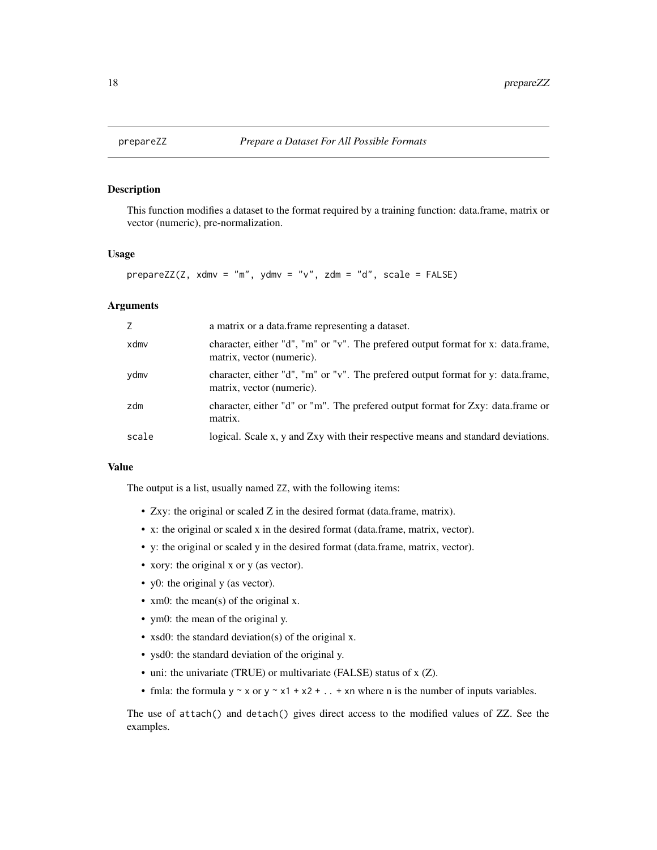<span id="page-17-1"></span><span id="page-17-0"></span>

This function modifies a dataset to the format required by a training function: data.frame, matrix or vector (numeric), pre-normalization.

# Usage

```
prepareZZ(Z, xdmv = "m", ydmv = "v", zdm = "d", scale = FALSE)
```
# Arguments

|       | a matrix or a data. frame representing a dataset.                                                              |
|-------|----------------------------------------------------------------------------------------------------------------|
| xdmv  | character, either "d", "m" or "v". The preferred output format for x: data.frame,<br>matrix, vector (numeric). |
| ydmv  | character, either "d", "m" or "v". The prefered output format for y: data.frame,<br>matrix, vector (numeric).  |
| zdm   | character, either "d" or "m". The prefered output format for Zxy: data.frame or<br>matrix.                     |
| scale | logical. Scale x, y and Zxy with their respective means and standard deviations.                               |

#### Value

The output is a list, usually named ZZ, with the following items:

- Zxy: the original or scaled Z in the desired format (data.frame, matrix).
- x: the original or scaled x in the desired format (data.frame, matrix, vector).
- y: the original or scaled y in the desired format (data.frame, matrix, vector).
- xory: the original x or y (as vector).
- y0: the original y (as vector).
- xm0: the mean(s) of the original x.
- ym0: the mean of the original y.
- xsd0: the standard deviation(s) of the original x.
- ysd0: the standard deviation of the original y.
- uni: the univariate (TRUE) or multivariate (FALSE) status of x (Z).
- fmla: the formula  $y \sim x$  or  $y \sim x1 + x2 + ... + xn$  where n is the number of inputs variables.

The use of attach() and detach() gives direct access to the modified values of ZZ. See the examples.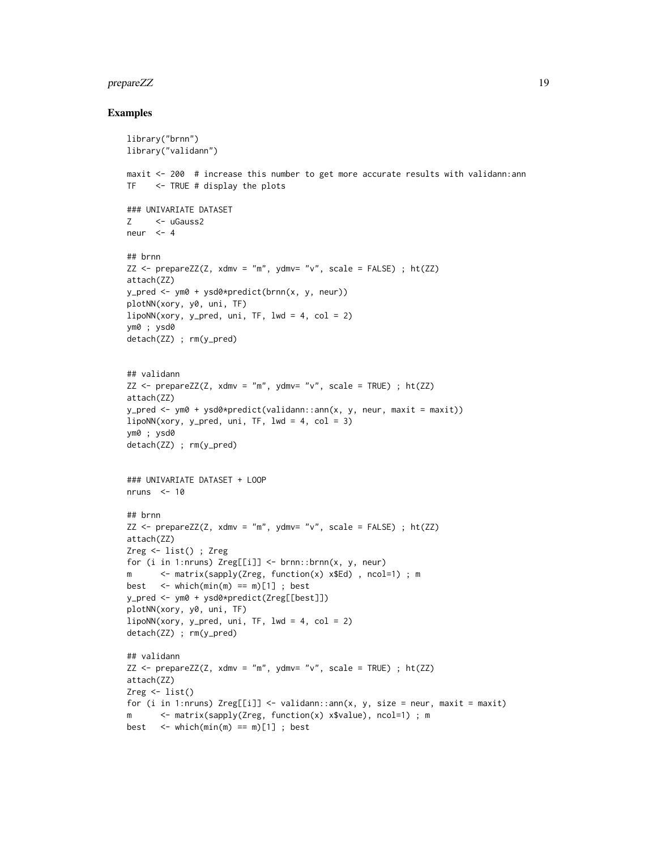#### prepareZZ 2000 and the contract of the contract of the contract of the contract of the contract of the contract of the contract of the contract of the contract of the contract of the contract of the contract of the contrac

```
library("brnn")
library("validann")
maxit <- 200 # increase this number to get more accurate results with validann:ann
TF <- TRUE # display the plots
### UNIVARIATE DATASET
Z <- uGauss2
neur <-4## brnn
ZZ \leq - prepareZZ(Z, xdmv = "m", ydmv= "v", scale = FALSE) ; ht(ZZ)
attach(ZZ)
y_pred <- ym0 + ysd0*predict(brnn(x, y, neur))
plotNN(xory, y0, uni, TF)
lipoNN(xory, y_pred, uni, TF, lwd = 4, col = 2)ym0 ; ysd0
detach(ZZ) ; rm(y_pred)
## validann
ZZ \le - prepareZZ(Z, xdmv = "m", ydmv = "v", scale = TRUE); ht(ZZ)
attach(ZZ)
y_pred <- ym0 + ysd0*predict(validann::ann(x, y, neur, maxit = maxit))
lipoNN(xory, y_pred, uni, TF, lwd = 4, col = 3)ym0 ; ysd0
detach(ZZ) ; rm(y_pred)
### UNIVARIATE DATASET + LOOP
nruns <-10## brnn
ZZ \leq - prepareZZ(Z, xdmv = "m", ydmv= "v", scale = FALSE) ; ht(ZZ)
attach(ZZ)
Zreg <- list() ; Zreg
for (i in 1:nruns) Zreg[[i]] \leftarrow brnn::brnn(x, y, neur)m <- matrix(sapply(Zreg, function(x) x$Ed) , ncol=1) ; m
best \le which(min(m) == m)[1] ; best
y_pred <- ym0 + ysd0*predict(Zreg[[best]])
plotNN(xory, y0, uni, TF)
lipoNN(xory, y_pred, uni, TF, lwd = 4, col = 2)detach(ZZ) ; rm(y_pred)
## validann
ZZ \leq - prepareZZ(Z, xdmv = "m", ydmv= "v", scale = TRUE) ; ht(ZZ)
attach(ZZ)
Zreg \leftarrow list()
for (i in 1:nruns) Zreg[[i]] \le - \text{validation}:ann(x, y, size = neur, maxit = maxit)m <- matrix(sapply(Zreg, function(x) x$value), ncol=1) ; m
best \le which(min(m) == m)[1] ; best
```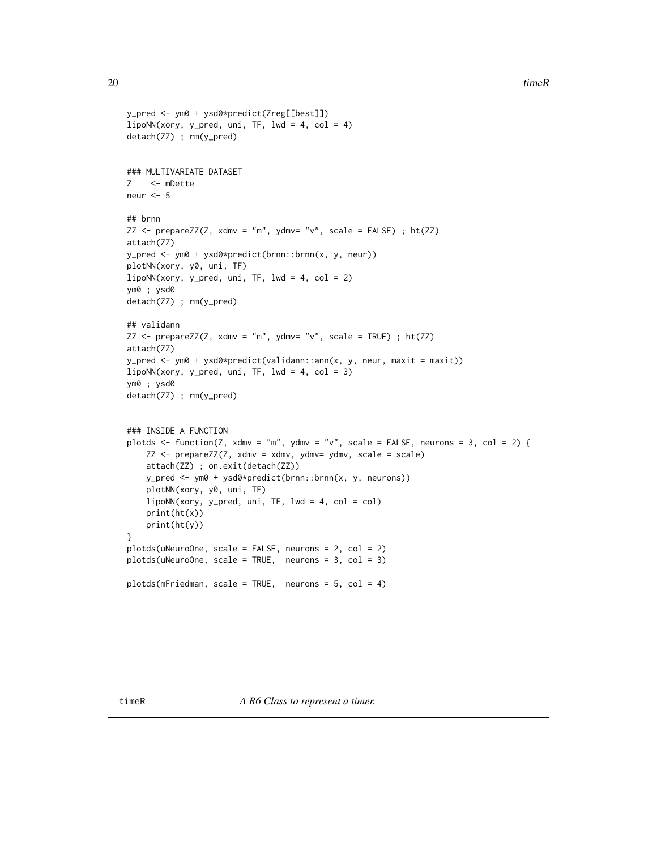```
y_pred <- ym0 + ysd0*predict(Zreg[[best]])
lipoNN(xory, y_pred, uni, TF, lwd = 4, col = 4)detach(ZZ) ; rm(y_pred)
### MULTIVARIATE DATASET
Z <- mDette
neur <-5## brnn
ZZ \le - prepareZZ(Z, xdmv = "m", ydmv= "v", scale = FALSE) ; ht(ZZ)
attach(ZZ)
y_pred <- ym0 + ysd0*predict(brnn::brnn(x, y, neur))
plotNN(xory, y0, uni, TF)
lipoNN(xory, y_pred, uni, TF, lwd = 4, col = 2)ym0 ; ysd0
detach(ZZ) ; rm(y_pred)
## validann
ZZ \leq - prepareZZ(Z, xdmv = "m", ydmv= "v", scale = TRUE) ; ht(ZZ)
attach(ZZ)
y_pred <- ym0 + ysd0*predict(validann::ann(x, y, neur, maxit = maxit))
lipoNN(xory, y_pred, uni, TF, lwd = 4, col = 3)ym0 ; ysd0
detach(ZZ) ; rm(y_pred)
### INSIDE A FUNCTION
plotds \le function(Z, xdmv = "m", ydmv = "v", scale = FALSE, neurons = 3, col = 2) {
   ZZ <- prepareZZ(Z, xdmv = xdmv, ydmv= ydmv, scale = scale)
   attach(ZZ) ; on.exit(detach(ZZ))
   y_pred <- ym0 + ysd0*predict(brnn::brnn(x, y, neurons))
   plotNN(xory, y0, uni, TF)
   lipoNN(xory, y_pred, uni, TF, lwd = 4, col = col)
   print(ht(x))
   print(ht(y))
}
plotds(uNeuroOne, scale = FALSE, neurons = 2, col = 2)
plots(uNeuroOne, scale = TRUE, neurons = 3, col = 3)
plots(mFriedman, scale = TRUE, neurons = 5, col = 4)
```
timeR *A R6 Class to represent a timer.*

<span id="page-19-0"></span>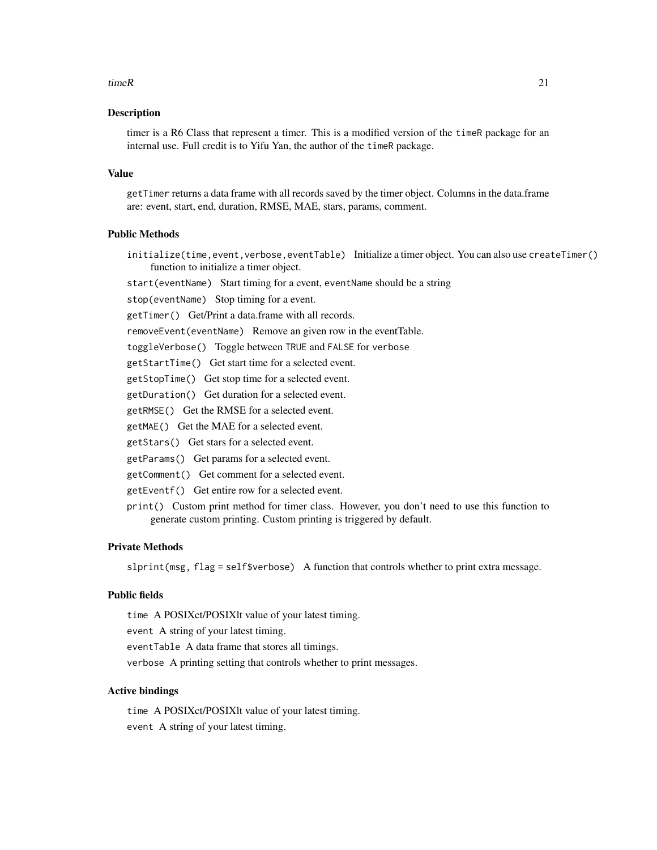#### $timeR$  21

#### **Description**

timer is a R6 Class that represent a timer. This is a modified version of the timeR package for an internal use. Full credit is to Yifu Yan, the author of the timeR package.

#### Value

getTimer returns a data frame with all records saved by the timer object. Columns in the data.frame are: event, start, end, duration, RMSE, MAE, stars, params, comment.

# Public Methods

initialize(time,event,verbose,eventTable) Initialize a timer object. You can also use createTimer() function to initialize a timer object.

start(eventName) Start timing for a event, eventName should be a string

stop(eventName) Stop timing for a event.

getTimer() Get/Print a data.frame with all records.

removeEvent(eventName) Remove an given row in the eventTable.

toggleVerbose() Toggle between TRUE and FALSE for verbose

getStartTime() Get start time for a selected event.

getStopTime() Get stop time for a selected event.

getDuration() Get duration for a selected event.

getRMSE() Get the RMSE for a selected event.

getMAE() Get the MAE for a selected event.

getStars() Get stars for a selected event.

getParams() Get params for a selected event.

getComment() Get comment for a selected event.

getEventf() Get entire row for a selected event.

print() Custom print method for timer class. However, you don't need to use this function to generate custom printing. Custom printing is triggered by default.

#### Private Methods

slprint(msg, flag = self\$verbose) A function that controls whether to print extra message.

### Public fields

time A POSIXct/POSIXlt value of your latest timing.

event A string of your latest timing.

eventTable A data frame that stores all timings.

verbose A printing setting that controls whether to print messages.

#### Active bindings

time A POSIXct/POSIXlt value of your latest timing. event A string of your latest timing.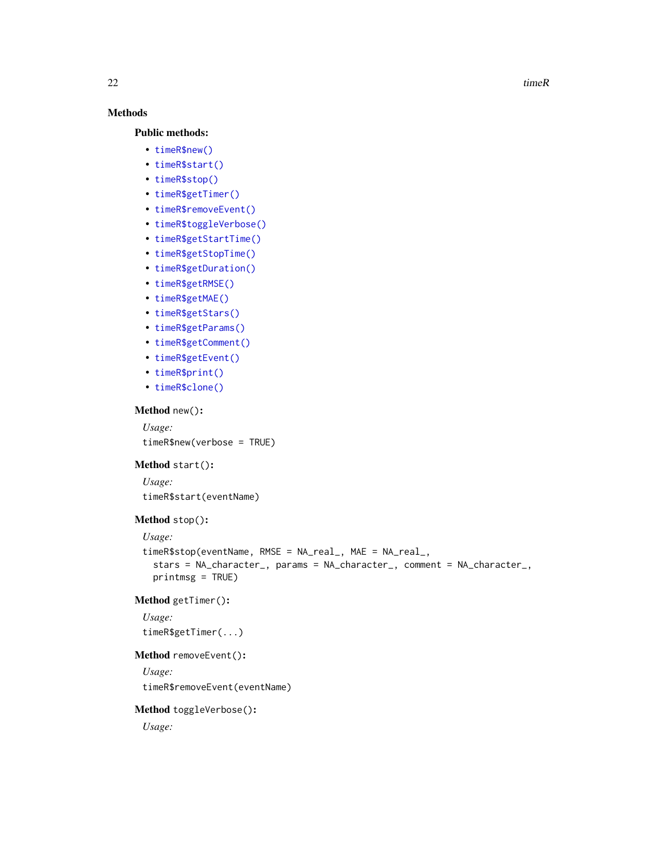$22$  timeR

# Methods

#### Public methods:

- [timeR\\$new\(\)](#page-21-0)
- [timeR\\$start\(\)](#page-21-1)
- [timeR\\$stop\(\)](#page-21-2)
- [timeR\\$getTimer\(\)](#page-21-3)
- [timeR\\$removeEvent\(\)](#page-21-4)
- [timeR\\$toggleVerbose\(\)](#page-21-5)
- [timeR\\$getStartTime\(\)](#page-22-0)
- [timeR\\$getStopTime\(\)](#page-22-1)
- [timeR\\$getDuration\(\)](#page-22-2)
- [timeR\\$getRMSE\(\)](#page-22-3)
- [timeR\\$getMAE\(\)](#page-22-4)
- [timeR\\$getStars\(\)](#page-22-5)
- [timeR\\$getParams\(\)](#page-22-6)
- [timeR\\$getComment\(\)](#page-22-7)
- [timeR\\$getEvent\(\)](#page-22-8)
- [timeR\\$print\(\)](#page-22-9)
- [timeR\\$clone\(\)](#page-22-10)

#### <span id="page-21-0"></span>Method new():

*Usage:* timeR\$new(verbose = TRUE)

# <span id="page-21-1"></span>Method start():

*Usage:*

timeR\$start(eventName)

# <span id="page-21-2"></span>Method stop():

*Usage:*

```
timeR$stop(eventName, RMSE = NA_real_, MAE = NA_real_,
  stars = NA_character_, params = NA_character_, comment = NA_character_,
 printmsg = TRUE)
```
#### <span id="page-21-3"></span>Method getTimer():

*Usage:* timeR\$getTimer(...)

# <span id="page-21-4"></span>Method removeEvent():

*Usage:*

timeR\$removeEvent(eventName)

# <span id="page-21-5"></span>Method toggleVerbose():

*Usage:*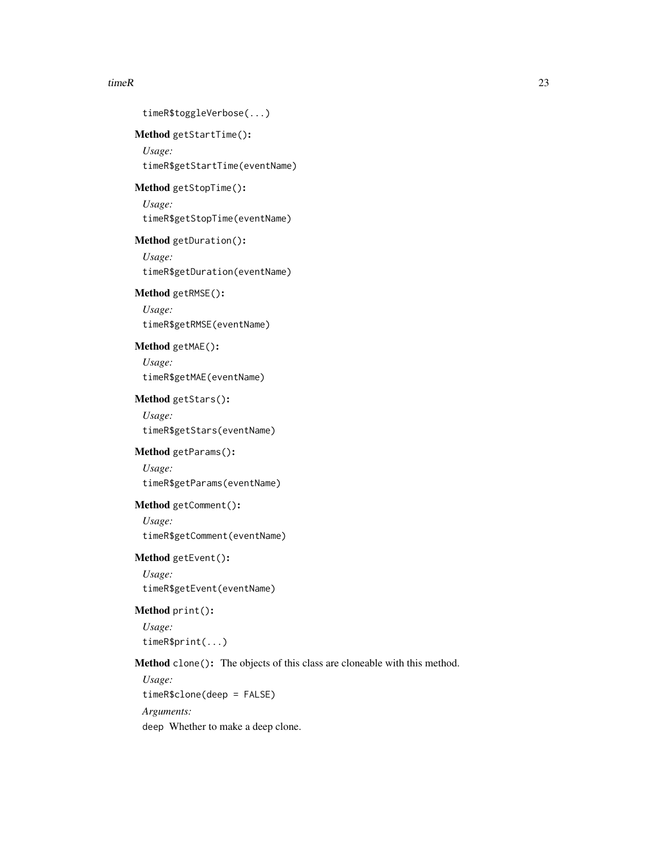#### $timeR$  23

<span id="page-22-10"></span><span id="page-22-9"></span><span id="page-22-8"></span><span id="page-22-7"></span><span id="page-22-6"></span><span id="page-22-5"></span><span id="page-22-4"></span><span id="page-22-3"></span><span id="page-22-2"></span><span id="page-22-1"></span><span id="page-22-0"></span>timeR\$toggleVerbose(...) Method getStartTime(): *Usage:* timeR\$getStartTime(eventName) Method getStopTime(): *Usage:* timeR\$getStopTime(eventName) Method getDuration(): *Usage:* timeR\$getDuration(eventName) Method getRMSE(): *Usage:* timeR\$getRMSE(eventName) Method getMAE(): *Usage:* timeR\$getMAE(eventName) Method getStars(): *Usage:* timeR\$getStars(eventName) Method getParams(): *Usage:* timeR\$getParams(eventName) Method getComment(): *Usage:* timeR\$getComment(eventName) Method getEvent(): *Usage:* timeR\$getEvent(eventName) Method print(): *Usage:* timeR\$print(...) Method clone(): The objects of this class are cloneable with this method. *Usage:* timeR\$clone(deep = FALSE) *Arguments:* deep Whether to make a deep clone.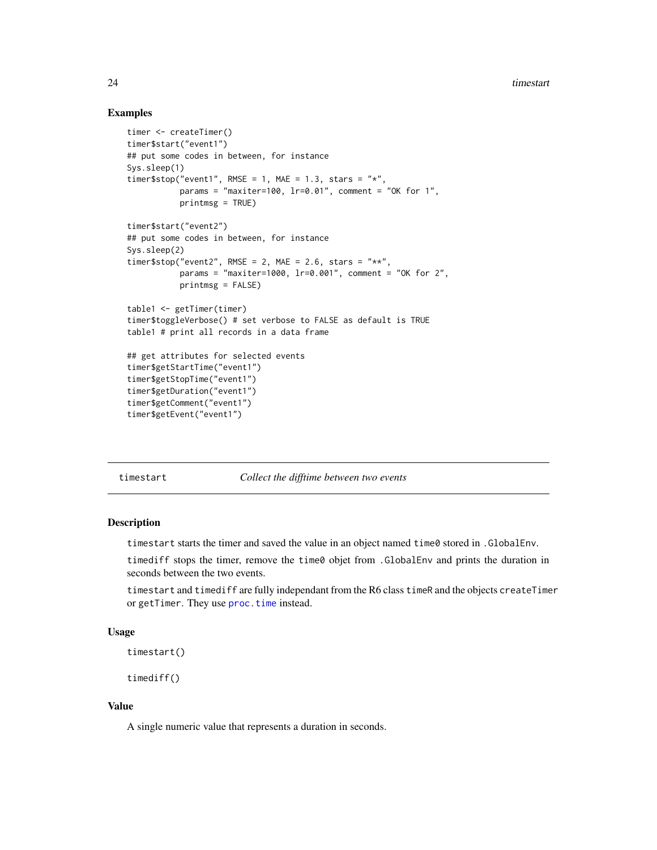# <span id="page-23-0"></span>Examples

```
timer <- createTimer()
timer$start("event1")
## put some codes in between, for instance
Sys.sleep(1)
timer$stop("event1", RMSE = 1, MAE = 1.3, stars = "*",
           params = "maxiter=100, 1r=0.01", comment = "OK for 1",
           printmsg = TRUE)
timer$start("event2")
## put some codes in between, for instance
Sys.sleep(2)
timer$stop("event2", RMSE = 2, MAE = 2.6, stars = "**",
           params = "maxiter=1000, lr=0.001", comment = "OK for 2",
           printmsg = FALSE)
table1 <- getTimer(timer)
timer$toggleVerbose() # set verbose to FALSE as default is TRUE
table1 # print all records in a data frame
## get attributes for selected events
timer$getStartTime("event1")
timer$getStopTime("event1")
timer$getDuration("event1")
timer$getComment("event1")
timer$getEvent("event1")
```
timestart *Collect the difftime between two events*

#### <span id="page-23-1"></span>**Description**

timestart starts the timer and saved the value in an object named time0 stored in .GlobalEnv.

timediff stops the timer, remove the time0 objet from .GlobalEnv and prints the duration in seconds between the two events.

timestart and timediff are fully independant from the R6 class timeR and the objects createTimer or getTimer. They use [proc.time](#page-0-0) instead.

#### Usage

timestart()

timediff()

#### Value

A single numeric value that represents a duration in seconds.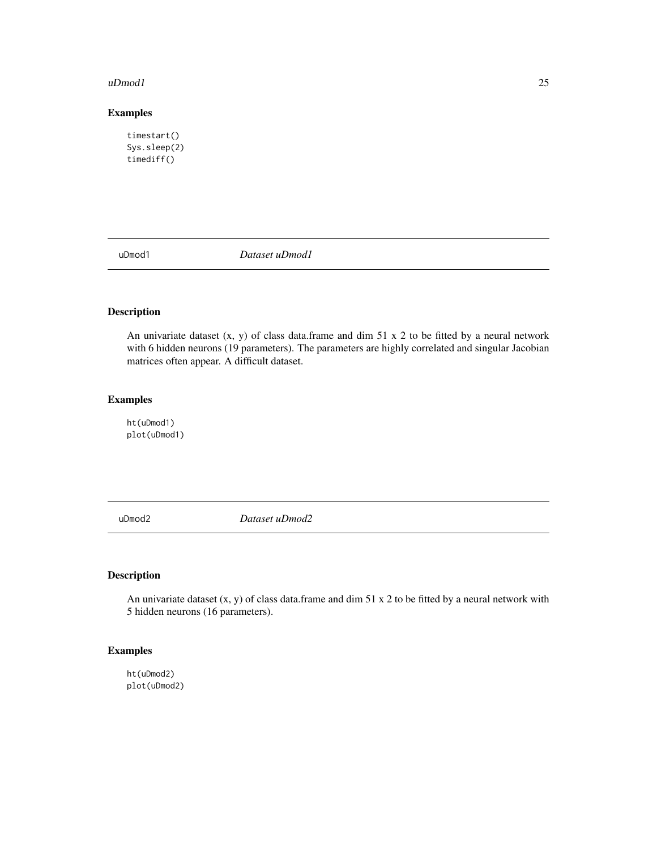#### <span id="page-24-0"></span>uDmod1 25

# Examples

```
timestart()
Sys.sleep(2)
timediff()
```
uDmod1 *Dataset uDmod1*

# Description

An univariate dataset  $(x, y)$  of class data.frame and dim 51 x 2 to be fitted by a neural network with 6 hidden neurons (19 parameters). The parameters are highly correlated and singular Jacobian matrices often appear. A difficult dataset.

#### Examples

ht(uDmod1) plot(uDmod1)

uDmod2 *Dataset uDmod2*

# Description

An univariate dataset  $(x, y)$  of class data.frame and dim 51 x 2 to be fitted by a neural network with 5 hidden neurons (16 parameters).

# Examples

ht(uDmod2) plot(uDmod2)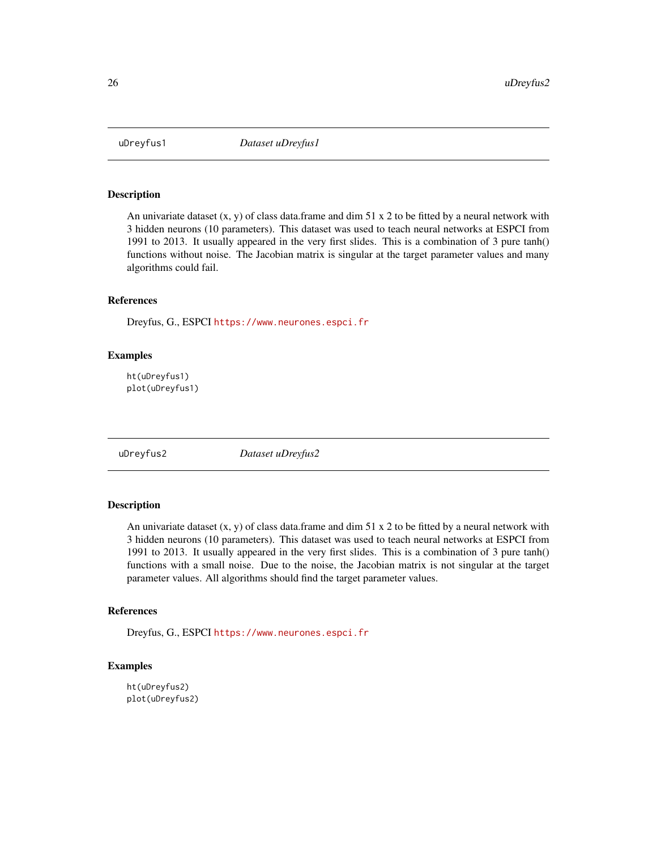<span id="page-25-0"></span>

An univariate dataset  $(x, y)$  of class data.frame and dim 51 x 2 to be fitted by a neural network with 3 hidden neurons (10 parameters). This dataset was used to teach neural networks at ESPCI from 1991 to 2013. It usually appeared in the very first slides. This is a combination of 3 pure tanh() functions without noise. The Jacobian matrix is singular at the target parameter values and many algorithms could fail.

# References

Dreyfus, G., ESPCI <https://www.neurones.espci.fr>

#### Examples

ht(uDreyfus1) plot(uDreyfus1)

uDreyfus2 *Dataset uDreyfus2*

# Description

An univariate dataset  $(x, y)$  of class data.frame and dim 51 x 2 to be fitted by a neural network with 3 hidden neurons (10 parameters). This dataset was used to teach neural networks at ESPCI from 1991 to 2013. It usually appeared in the very first slides. This is a combination of 3 pure tanh() functions with a small noise. Due to the noise, the Jacobian matrix is not singular at the target parameter values. All algorithms should find the target parameter values.

#### References

Dreyfus, G., ESPCI <https://www.neurones.espci.fr>

# Examples

ht(uDreyfus2) plot(uDreyfus2)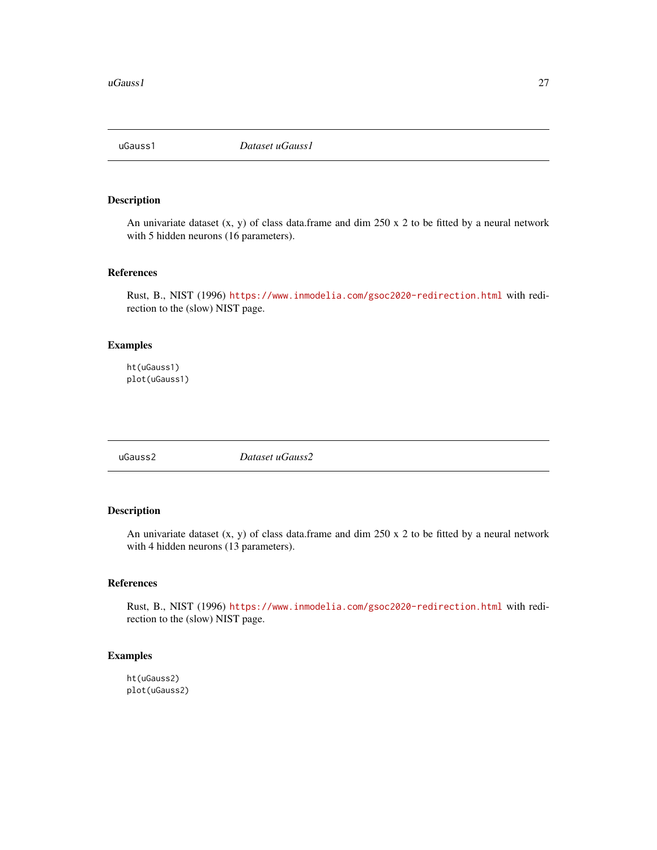<span id="page-26-0"></span>

An univariate dataset  $(x, y)$  of class data.frame and dim 250 x 2 to be fitted by a neural network with 5 hidden neurons (16 parameters).

# References

Rust, B., NIST (1996) <https://www.inmodelia.com/gsoc2020-redirection.html> with redirection to the (slow) NIST page.

#### Examples

ht(uGauss1) plot(uGauss1)

uGauss2 *Dataset uGauss2*

# Description

An univariate dataset  $(x, y)$  of class data.frame and dim 250 x 2 to be fitted by a neural network with 4 hidden neurons (13 parameters).

# References

Rust, B., NIST (1996) <https://www.inmodelia.com/gsoc2020-redirection.html> with redirection to the (slow) NIST page.

# Examples

ht(uGauss2) plot(uGauss2)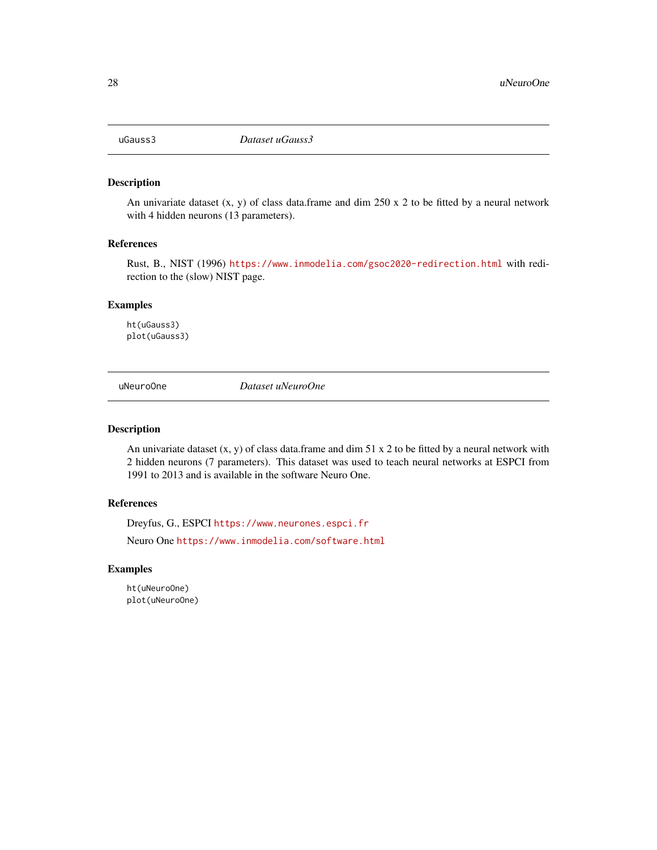<span id="page-27-0"></span>

An univariate dataset  $(x, y)$  of class data.frame and dim 250 x 2 to be fitted by a neural network with 4 hidden neurons (13 parameters).

#### References

Rust, B., NIST (1996) <https://www.inmodelia.com/gsoc2020-redirection.html> with redirection to the (slow) NIST page.

# Examples

ht(uGauss3) plot(uGauss3)

uNeuroOne *Dataset uNeuroOne*

#### Description

An univariate dataset  $(x, y)$  of class data.frame and dim 51 x 2 to be fitted by a neural network with 2 hidden neurons (7 parameters). This dataset was used to teach neural networks at ESPCI from 1991 to 2013 and is available in the software Neuro One.

#### References

Dreyfus, G., ESPCI <https://www.neurones.espci.fr> Neuro One <https://www.inmodelia.com/software.html>

#### Examples

ht(uNeuroOne) plot(uNeuroOne)